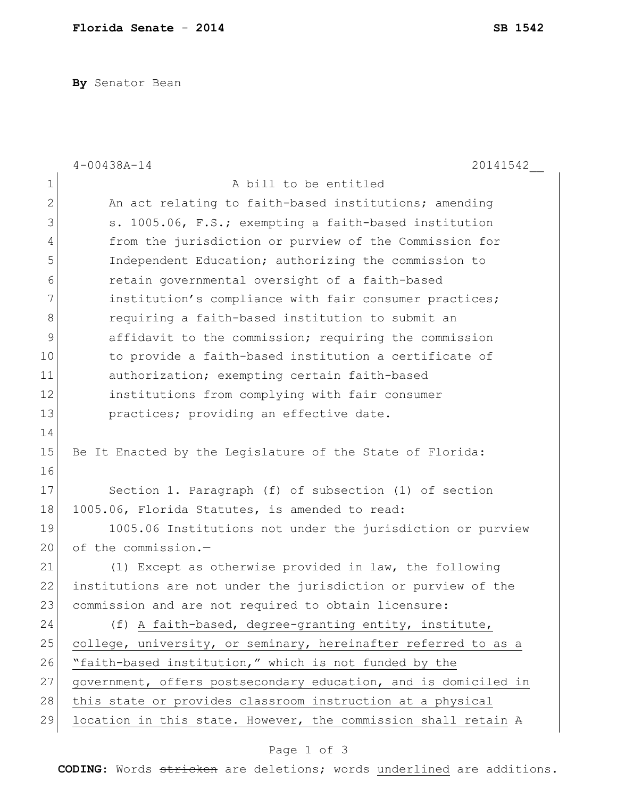**By** Senator Bean

|              | $4 - 00438A - 14$<br>20141542                                   |
|--------------|-----------------------------------------------------------------|
| 1            | A bill to be entitled                                           |
| $\mathbf{2}$ | An act relating to faith-based institutions; amending           |
| 3            | s. 1005.06, F.S.; exempting a faith-based institution           |
| 4            | from the jurisdiction or purview of the Commission for          |
| 5            | Independent Education; authorizing the commission to            |
| 6            | retain governmental oversight of a faith-based                  |
| 7            | institution's compliance with fair consumer practices;          |
| 8            | requiring a faith-based institution to submit an                |
| 9            | affidavit to the commission; requiring the commission           |
| 10           | to provide a faith-based institution a certificate of           |
| 11           | authorization; exempting certain faith-based                    |
| 12           | institutions from complying with fair consumer                  |
| 13           | practices; providing an effective date.                         |
| 14           |                                                                 |
| 15           | Be It Enacted by the Legislature of the State of Florida:       |
| 16           |                                                                 |
| 17           | Section 1. Paragraph (f) of subsection (1) of section           |
| 18           | 1005.06, Florida Statutes, is amended to read:                  |
| 19           | 1005.06 Institutions not under the jurisdiction or purview      |
| 20           | of the commission.-                                             |
| 21           | (1) Except as otherwise provided in law, the following          |
| 22           | institutions are not under the jurisdiction or purview of the   |
| 23           | commission and are not required to obtain licensure:            |
| 24           | (f) A faith-based, degree-granting entity, institute,           |
| 25           | college, university, or seminary, hereinafter referred to as a  |
| 26           | "faith-based institution," which is not funded by the           |
| 27           | government, offers postsecondary education, and is domiciled in |
| 28           | this state or provides classroom instruction at a physical      |
| 29           | location in this state. However, the commission shall retain A  |

## Page 1 of 3

**CODING**: Words stricken are deletions; words underlined are additions.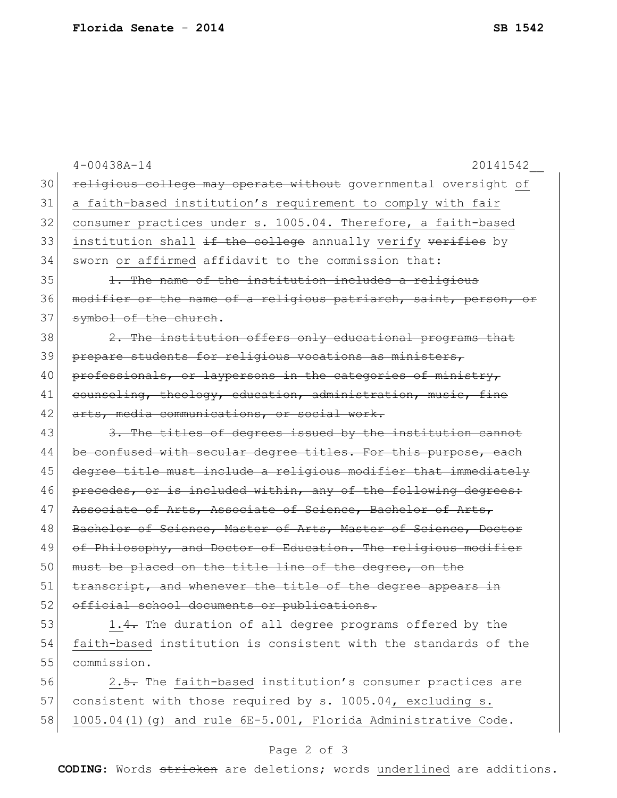|    | $4 - 00438A - 14$<br>20141542                                    |
|----|------------------------------------------------------------------|
| 30 | religious college may operate without governmental oversight of  |
| 31 | a faith-based institution's requirement to comply with fair      |
| 32 | consumer practices under s. 1005.04. Therefore, a faith-based    |
| 33 | institution shall if the college annually verify verifies by     |
| 34 | sworn or affirmed affidavit to the commission that:              |
| 35 | 1. The name of the institution includes a religious              |
| 36 | modifier or the name of a religious patriarch, saint, person, or |
| 37 | symbol of the church.                                            |
| 38 | 2. The institution offers only educational programs that         |
| 39 | prepare students for religious vocations as ministers,           |
| 40 | professionals, or laypersons in the categories of ministry,      |
| 41 | counseling, theology, education, administration, music, fine     |
| 42 | arts, media communications, or social work.                      |
| 43 | 3. The titles of degrees issued by the institution cannot        |
| 44 | be confused with secular degree titles. For this purpose, each   |
| 45 | degree title must include a religious modifier that immediately  |
| 46 | precedes, or is included within, any of the following degrees:   |
| 47 | Associate of Arts, Associate of Science, Bachelor of Arts,       |
| 48 | Bachelor of Science, Master of Arts, Master of Science, Doctor   |
| 49 | of Philosophy, and Doctor of Education. The religious modifier   |
| 50 | must be placed on the title line of the degree, on the           |
| 51 | transcript, and whenever the title of the degree appears in      |
| 52 | official school documents or publications.                       |
| 53 | 1.4. The duration of all degree programs offered by the          |
| 54 | faith-based institution is consistent with the standards of the  |
| 55 | commission.                                                      |
| 56 | 2.5. The faith-based institution's consumer practices are        |
| 57 | consistent with those required by s. 1005.04, excluding s.       |

## Page 2 of 3

58 1005.04(1)(g) and rule 6E-5.001, Florida Administrative Code.

**CODING**: Words stricken are deletions; words underlined are additions.